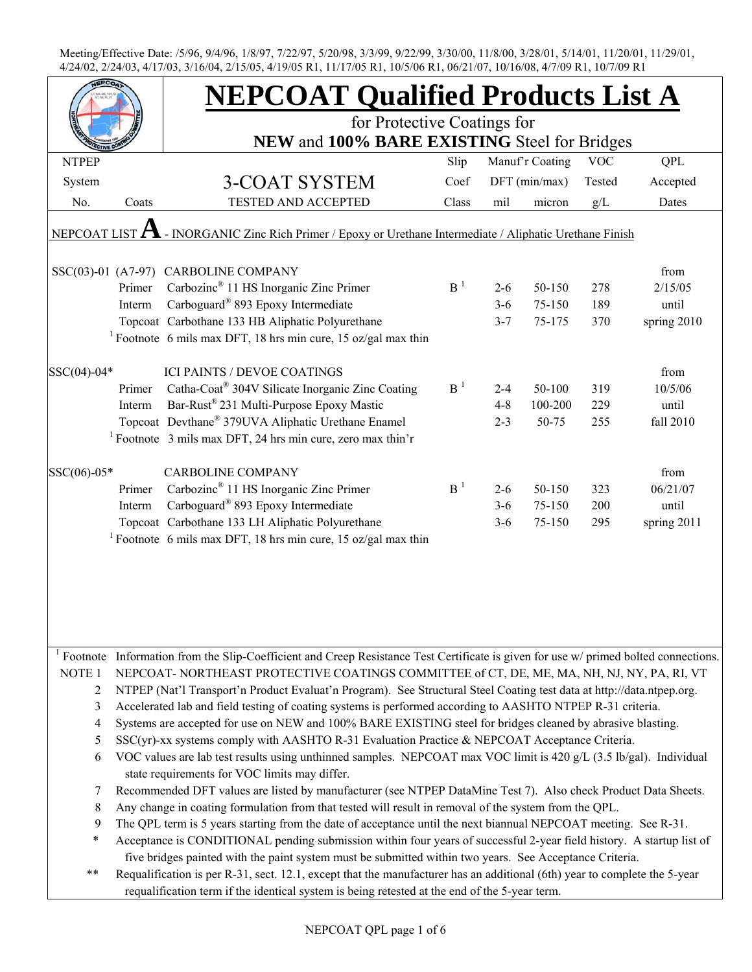|                   |        | <b>NEPCOAT Qualified Products List A</b>                                                                                                         |                |         |                 |            |             |  |
|-------------------|--------|--------------------------------------------------------------------------------------------------------------------------------------------------|----------------|---------|-----------------|------------|-------------|--|
|                   |        | for Protective Coatings for                                                                                                                      |                |         |                 |            |             |  |
|                   |        | NEW and 100% BARE EXISTING Steel for Bridges                                                                                                     |                |         |                 |            |             |  |
| <b>NTPEP</b>      |        |                                                                                                                                                  | Slip           |         | Manuf'r Coating | <b>VOC</b> | <b>QPL</b>  |  |
| System            |        | <b>3-COAT SYSTEM</b>                                                                                                                             | Coef           |         | DFT (min/max)   | Tested     | Accepted    |  |
| No.               | Coats  | TESTED AND ACCEPTED                                                                                                                              | Class          | mil     | micron          | g/L        | Dates       |  |
| NEPCOAT LIST      |        | - INORGANIC Zinc Rich Primer / Epoxy or Urethane Intermediate / Aliphatic Urethane Finish                                                        |                |         |                 |            |             |  |
|                   |        | SSC(03)-01 (A7-97) CARBOLINE COMPANY                                                                                                             |                |         |                 |            | from        |  |
|                   | Primer | Carbozinc <sup>®</sup> 11 HS Inorganic Zinc Primer                                                                                               | B <sup>1</sup> | $2 - 6$ | 50-150          | 278        | 2/15/05     |  |
|                   | Interm | Carboguard® 893 Epoxy Intermediate                                                                                                               |                | $3 - 6$ | 75-150          | 189        | until       |  |
|                   |        | Topcoat Carbothane 133 HB Aliphatic Polyurethane                                                                                                 |                | $3 - 7$ | 75-175          | 370        | spring 2010 |  |
|                   |        | <sup>1</sup> Footnote 6 mils max DFT, 18 hrs min cure, 15 oz/gal max thin                                                                        |                |         |                 |            |             |  |
| SSC(04)-04*       |        | <b>ICI PAINTS / DEVOE COATINGS</b>                                                                                                               |                |         |                 |            | from        |  |
|                   | Primer | Catha-Coat <sup>®</sup> 304V Silicate Inorganic Zinc Coating                                                                                     | B <sup>1</sup> | $2 - 4$ | 50-100          | 319        | 10/5/06     |  |
|                   | Interm | Bar-Rust® 231 Multi-Purpose Epoxy Mastic                                                                                                         |                | $4 - 8$ | 100-200         | 229        | until       |  |
|                   |        | Topcoat Devthane® 379UVA Aliphatic Urethane Enamel                                                                                               |                | $2 - 3$ | 50-75           | 255        | fall 2010   |  |
|                   |        | <sup>1</sup> Footnote 3 mils max DFT, 24 hrs min cure, zero max thin'r                                                                           |                |         |                 |            |             |  |
| SSC(06)-05*       |        | <b>CARBOLINE COMPANY</b>                                                                                                                         |                |         |                 |            | from        |  |
|                   | Primer | Carbozinc <sup>®</sup> 11 HS Inorganic Zinc Primer                                                                                               | B <sup>1</sup> | $2 - 6$ | 50-150          | 323        | 06/21/07    |  |
|                   | Interm | Carboguard <sup>®</sup> 893 Epoxy Intermediate                                                                                                   |                | $3-6$   | 75-150          | 200        | until       |  |
|                   |        | Topcoat Carbothane 133 LH Aliphatic Polyurethane                                                                                                 |                | $3 - 6$ | 75-150          | 295        | spring 2011 |  |
|                   |        | <sup>1</sup> Footnote 6 mils max DFT, 18 hrs min cure, 15 oz/gal max thin                                                                        |                |         |                 |            |             |  |
|                   |        |                                                                                                                                                  |                |         |                 |            |             |  |
|                   |        |                                                                                                                                                  |                |         |                 |            |             |  |
|                   |        |                                                                                                                                                  |                |         |                 |            |             |  |
|                   |        |                                                                                                                                                  |                |         |                 |            |             |  |
|                   |        | <sup>1</sup> Footnote Information from the Slip-Coefficient and Creep Resistance Test Certificate is given for use w/ primed bolted connections. |                |         |                 |            |             |  |
| NOTE <sub>1</sub> |        | NEPCOAT-NORTHEAST PROTECTIVE COATINGS COMMITTEE of CT, DE, ME, MA, NH, NJ, NY, PA, RI, VT                                                        |                |         |                 |            |             |  |
| 2                 |        | NTPEP (Nat'l Transport'n Product Evaluat'n Program). See Structural Steel Coating test data at http://data.ntpep.org.                            |                |         |                 |            |             |  |
| 3                 |        | Accelerated lab and field testing of coating systems is performed according to AASHTO NTPEP R-31 criteria.                                       |                |         |                 |            |             |  |
| 4                 |        | Systems are accepted for use on NEW and 100% BARE EXISTING steel for bridges cleaned by abrasive blasting.                                       |                |         |                 |            |             |  |
| 5                 |        | $SSC(yr)$ -xx systems comply with AASHTO R-31 Evaluation Practice & NEPCOAT Acceptance Criteria.                                                 |                |         |                 |            |             |  |
| 6                 |        | VOC values are lab test results using unthinned samples. NEPCOAT max VOC limit is 420 g/L (3.5 lb/gal). Individual                               |                |         |                 |            |             |  |
|                   |        | state requirements for VOC limits may differ.                                                                                                    |                |         |                 |            |             |  |
| 7                 |        | Recommended DFT values are listed by manufacturer (see NTPEP DataMine Test 7). Also check Product Data Sheets.                                   |                |         |                 |            |             |  |
| 8                 |        | Any change in coating formulation from that tested will result in removal of the system from the QPL.                                            |                |         |                 |            |             |  |
| 9                 |        | The QPL term is 5 years starting from the date of acceptance until the next biannual NEPCOAT meeting. See R-31.                                  |                |         |                 |            |             |  |
| $\ast$            |        | Acceptance is CONDITIONAL pending submission within four years of successful 2-year field history. A startup list of                             |                |         |                 |            |             |  |
|                   |        | five bridges painted with the paint system must be submitted within two years. See Acceptance Criteria.                                          |                |         |                 |            |             |  |
| $***$             |        | Requalification is per R-31, sect. 12.1, except that the manufacturer has an additional (6th) year to complete the 5-year                        |                |         |                 |            |             |  |
|                   |        | requalification term if the identical system is being retested at the end of the 5-year term.                                                    |                |         |                 |            |             |  |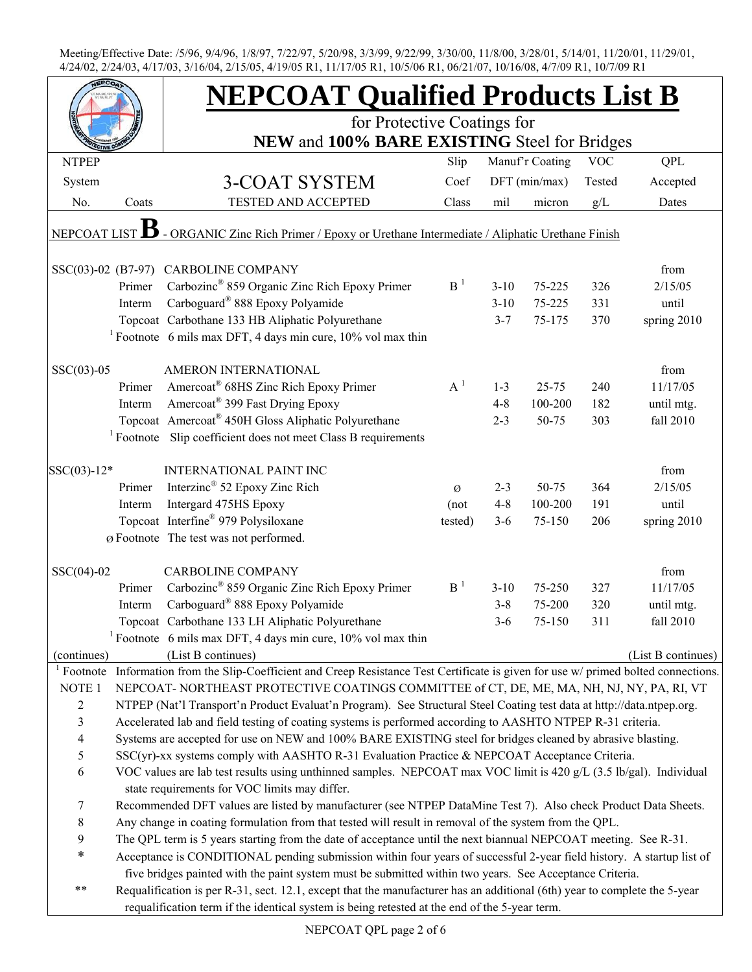|                |        | <b>NEPCOAT Qualified Products List B</b>                                                                                   |                 |          |                 |            |                    |
|----------------|--------|----------------------------------------------------------------------------------------------------------------------------|-----------------|----------|-----------------|------------|--------------------|
|                |        | for Protective Coatings for                                                                                                |                 |          |                 |            |                    |
|                |        | NEW and 100% BARE EXISTING Steel for Bridges                                                                               |                 |          |                 |            |                    |
| <b>NTPEP</b>   |        |                                                                                                                            | Slip            |          | Manuf'r Coating | <b>VOC</b> | QPL                |
| System         |        | 3-COAT SYSTEM                                                                                                              | Coef            |          | $DFT$ (min/max) | Tested     | Accepted           |
| No.            | Coats  | TESTED AND ACCEPTED                                                                                                        | Class           | mil      | micron          | g/L        | Dates              |
| NEPCOAT LIST   |        | - ORGANIC Zinc Rich Primer / Epoxy or Urethane Intermediate / Aliphatic Urethane Finish                                    |                 |          |                 |            |                    |
|                |        |                                                                                                                            |                 |          |                 |            |                    |
|                |        | SSC(03)-02 (B7-97) CARBOLINE COMPANY                                                                                       |                 |          |                 |            | from               |
|                | Primer | Carbozinc <sup>®</sup> 859 Organic Zinc Rich Epoxy Primer                                                                  | B <sup>1</sup>  | $3 - 10$ | 75-225          | 326        | 2/15/05            |
|                | Interm | Carboguard <sup>®</sup> 888 Epoxy Polyamide                                                                                |                 | $3 - 10$ | 75-225          | 331        | until              |
|                |        | Topcoat Carbothane 133 HB Aliphatic Polyurethane                                                                           |                 | $3 - 7$  | 75-175          | 370        | spring 2010        |
|                |        | <sup>1</sup> Footnote 6 mils max DFT, 4 days min cure, $10\%$ vol max thin                                                 |                 |          |                 |            |                    |
| $SSC(03)-05$   |        | AMERON INTERNATIONAL                                                                                                       |                 |          |                 |            | from               |
|                | Primer | Amercoat <sup>®</sup> 68HS Zinc Rich Epoxy Primer                                                                          | $A^1$           | $1 - 3$  | $25 - 75$       | 240        | 11/17/05           |
|                | Interm | Amercoat <sup>®</sup> 399 Fast Drying Epoxy                                                                                |                 | $4 - 8$  | 100-200         | 182        | until mtg.         |
|                |        | Topcoat Amercoat® 450H Gloss Aliphatic Polyurethane                                                                        |                 | $2 - 3$  | 50-75           | 303        | fall 2010          |
|                |        | <sup>1</sup> Footnote Slip coefficient does not meet Class B requirements                                                  |                 |          |                 |            |                    |
| $SSC(03)-12*$  |        | <b>INTERNATIONAL PAINT INC</b>                                                                                             |                 |          |                 |            | from               |
|                | Primer | Interzinc <sup>®</sup> 52 Epoxy Zinc Rich                                                                                  | Ø               | $2 - 3$  | 50-75           | 364        | 2/15/05            |
|                |        | Intergard 475HS Epoxy                                                                                                      |                 | $4 - 8$  | 100-200         | 191        | until              |
|                | Interm | Topcoat Interfine® 979 Polysiloxane                                                                                        | (not<br>tested) | $3 - 6$  | 75-150          | 206        | spring 2010        |
|                |        | Ø Footnote The test was not performed.                                                                                     |                 |          |                 |            |                    |
|                |        |                                                                                                                            |                 |          |                 |            |                    |
| $SSC(04)-02$   |        | <b>CARBOLINE COMPANY</b>                                                                                                   |                 |          |                 |            | from               |
|                | Primer | Carbozinc <sup>®</sup> 859 Organic Zinc Rich Epoxy Primer                                                                  | B <sup>1</sup>  | $3 - 10$ | 75-250          | 327        | 11/17/05           |
|                | Interm | Carboguard® 888 Epoxy Polyamide                                                                                            |                 | $3 - 8$  | 75-200          | 320        | until mtg.         |
|                |        | Topcoat Carbothane 133 LH Aliphatic Polyurethane                                                                           |                 | $3 - 6$  | 75-150          | 311        | fall 2010          |
|                |        | <sup>1</sup> Footnote 6 mils max DFT, 4 days min cure, $10\%$ vol max thin                                                 |                 |          |                 |            |                    |
| (continues)    |        | (List B continues)                                                                                                         |                 |          |                 |            | (List B continues) |
| $1$ Footnote   |        | Information from the Slip-Coefficient and Creep Resistance Test Certificate is given for use w/ primed bolted connections. |                 |          |                 |            |                    |
| NOTE 1         |        | NEPCOAT-NORTHEAST PROTECTIVE COATINGS COMMITTEE of CT, DE, ME, MA, NH, NJ, NY, PA, RI, VT                                  |                 |          |                 |            |                    |
| $\overline{c}$ |        | NTPEP (Nat'l Transport'n Product Evaluat'n Program). See Structural Steel Coating test data at http://data.ntpep.org.      |                 |          |                 |            |                    |
| 3              |        | Accelerated lab and field testing of coating systems is performed according to AASHTO NTPEP R-31 criteria.                 |                 |          |                 |            |                    |
| $\overline{4}$ |        | Systems are accepted for use on NEW and 100% BARE EXISTING steel for bridges cleaned by abrasive blasting.                 |                 |          |                 |            |                    |
| 5              |        | $SSC(yr)$ -xx systems comply with AASHTO R-31 Evaluation Practice & NEPCOAT Acceptance Criteria.                           |                 |          |                 |            |                    |
| 6              |        | VOC values are lab test results using unthinned samples. NEPCOAT max VOC limit is 420 g/L (3.5 lb/gal). Individual         |                 |          |                 |            |                    |
|                |        | state requirements for VOC limits may differ.                                                                              |                 |          |                 |            |                    |
| 7              |        | Recommended DFT values are listed by manufacturer (see NTPEP DataMine Test 7). Also check Product Data Sheets.             |                 |          |                 |            |                    |
| 8              |        | Any change in coating formulation from that tested will result in removal of the system from the QPL.                      |                 |          |                 |            |                    |
| 9              |        | The QPL term is 5 years starting from the date of acceptance until the next biannual NEPCOAT meeting. See R-31.            |                 |          |                 |            |                    |
| $\ast$         |        | Acceptance is CONDITIONAL pending submission within four years of successful 2-year field history. A startup list of       |                 |          |                 |            |                    |
|                |        | five bridges painted with the paint system must be submitted within two years. See Acceptance Criteria.                    |                 |          |                 |            |                    |
| **             |        | Requalification is per R-31, sect. 12.1, except that the manufacturer has an additional (6th) year to complete the 5-year  |                 |          |                 |            |                    |
|                |        | requalification term if the identical system is being retested at the end of the 5-year term.                              |                 |          |                 |            |                    |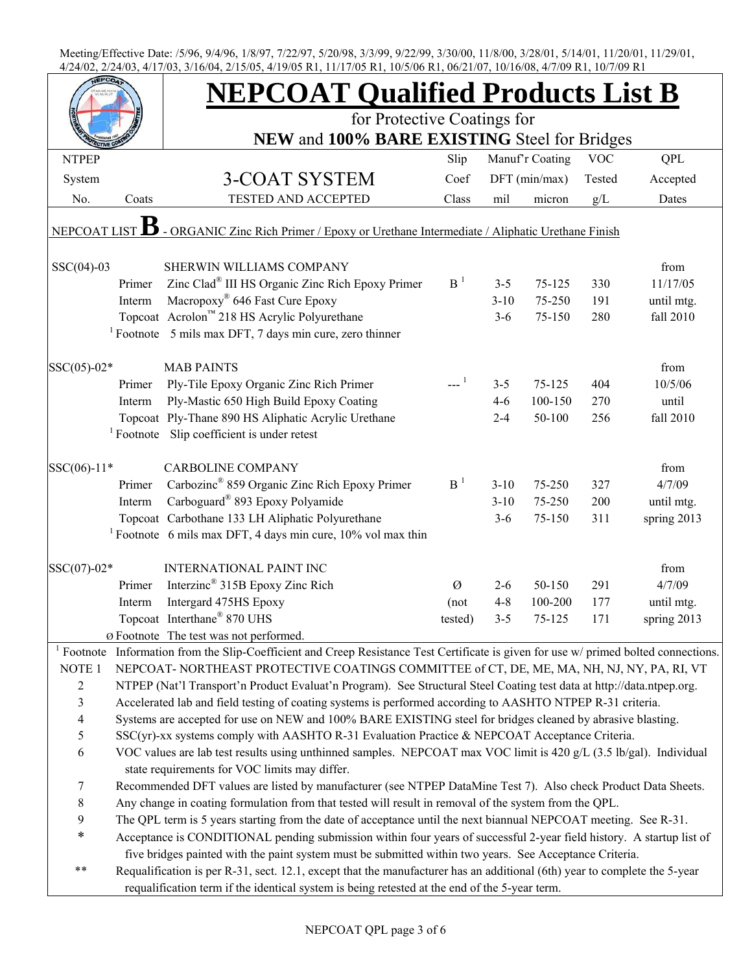|                     |        | <b>NEPCOAT Qualified Products List B</b>                                                                                                                                                                           |                |          |                 |            |             |
|---------------------|--------|--------------------------------------------------------------------------------------------------------------------------------------------------------------------------------------------------------------------|----------------|----------|-----------------|------------|-------------|
|                     |        | for Protective Coatings for                                                                                                                                                                                        |                |          |                 |            |             |
|                     |        | NEW and 100% BARE EXISTING Steel for Bridges                                                                                                                                                                       |                |          |                 |            |             |
| <b>NTPEP</b>        |        |                                                                                                                                                                                                                    | Slip           |          | Manuf'r Coating | <b>VOC</b> | QPL         |
| System              |        | 3-COAT SYSTEM                                                                                                                                                                                                      | Coef           |          | DFT (min/max)   | Tested     | Accepted    |
| No.                 | Coats  | TESTED AND ACCEPTED                                                                                                                                                                                                | Class          | mil      | micron          | g/L        | Dates       |
| NEPCOAT LIST        |        | - ORGANIC Zinc Rich Primer / Epoxy or Urethane Intermediate / Aliphatic Urethane Finish                                                                                                                            |                |          |                 |            |             |
| $SSC(04)-03$        |        | SHERWIN WILLIAMS COMPANY                                                                                                                                                                                           |                |          |                 |            | from        |
|                     | Primer | Zinc Clad <sup>®</sup> III HS Organic Zinc Rich Epoxy Primer                                                                                                                                                       | B <sup>1</sup> | $3 - 5$  | $75 - 125$      | 330        | 11/17/05    |
|                     | Interm | Macropoxy <sup>®</sup> 646 Fast Cure Epoxy                                                                                                                                                                         |                | $3 - 10$ | 75-250          | 191        | until mtg.  |
|                     |        | Topcoat Acrolon <sup>™</sup> 218 HS Acrylic Polyurethane                                                                                                                                                           |                | $3-6$    | 75-150          | 280        | fall 2010   |
|                     |        | $1$ Footnote 5 mils max DFT, 7 days min cure, zero thinner                                                                                                                                                         |                |          |                 |            |             |
| $SSC(05)-02*$       |        | <b>MAB PAINTS</b>                                                                                                                                                                                                  |                |          |                 |            | from        |
|                     | Primer | Ply-Tile Epoxy Organic Zinc Rich Primer                                                                                                                                                                            | $-1$           | $3 - 5$  | 75-125          | 404        | 10/5/06     |
|                     | Interm | Ply-Mastic 650 High Build Epoxy Coating                                                                                                                                                                            |                | $4-6$    | 100-150         | 270        | until       |
|                     |        | Topcoat Ply-Thane 890 HS Aliphatic Acrylic Urethane                                                                                                                                                                |                | $2 - 4$  | 50-100          | 256        | fall 2010   |
|                     |        | <sup>1</sup> Footnote Slip coefficient is under retest                                                                                                                                                             |                |          |                 |            |             |
| $SSC(06)-11*$       |        | <b>CARBOLINE COMPANY</b>                                                                                                                                                                                           |                |          |                 |            | from        |
|                     | Primer | Carbozinc <sup>®</sup> 859 Organic Zinc Rich Epoxy Primer                                                                                                                                                          | B <sup>1</sup> | $3 - 10$ | 75-250          | 327        | 4/7/09      |
|                     | Interm | Carboguard <sup>®</sup> 893 Epoxy Polyamide                                                                                                                                                                        |                | $3 - 10$ | 75-250          | 200        | until mtg.  |
|                     |        | Topcoat Carbothane 133 LH Aliphatic Polyurethane                                                                                                                                                                   |                | $3 - 6$  | 75-150          | 311        | spring 2013 |
|                     |        | <sup>1</sup> Footnote 6 mils max DFT, 4 days min cure, $10\%$ vol max thin                                                                                                                                         |                |          |                 |            |             |
|                     |        |                                                                                                                                                                                                                    |                |          |                 |            |             |
| $SSC(07)-02*$       |        | <b>INTERNATIONAL PAINT INC</b>                                                                                                                                                                                     |                |          |                 |            | from        |
|                     | Primer | Interzinc <sup>®</sup> 315B Epoxy Zinc Rich                                                                                                                                                                        | Ø              | $2 - 6$  | 50-150          | 291        | 4/7/09      |
|                     | Interm | Intergard 475HS Epoxy                                                                                                                                                                                              | (not           | $4 - 8$  | 100-200         | 177        | until mtg.  |
|                     |        | Topcoat Interthane <sup>®</sup> 870 UHS                                                                                                                                                                            | tested)        | $3 - 5$  | 75-125          | 171        | spring 2013 |
|                     |        | Ø Footnote The test was not performed.                                                                                                                                                                             |                |          |                 |            |             |
| NOTE <sub>1</sub>   |        | <sup>1</sup> Footnote Information from the Slip-Coefficient and Creep Resistance Test Certificate is given for use $w$ / primed bolted connections.                                                                |                |          |                 |            |             |
|                     |        | NEPCOAT-NORTHEAST PROTECTIVE COATINGS COMMITTEE of CT, DE, ME, MA, NH, NJ, NY, PA, RI, VT<br>NTPEP (Nat'l Transport'n Product Evaluat'n Program). See Structural Steel Coating test data at http://data.ntpep.org. |                |          |                 |            |             |
| $\overline{2}$      |        |                                                                                                                                                                                                                    |                |          |                 |            |             |
| 3<br>$\overline{4}$ |        | Accelerated lab and field testing of coating systems is performed according to AASHTO NTPEP R-31 criteria.                                                                                                         |                |          |                 |            |             |
|                     |        | Systems are accepted for use on NEW and 100% BARE EXISTING steel for bridges cleaned by abrasive blasting.                                                                                                         |                |          |                 |            |             |
| 5                   |        | SSC(yr)-xx systems comply with AASHTO R-31 Evaluation Practice & NEPCOAT Acceptance Criteria.                                                                                                                      |                |          |                 |            |             |
| 6                   |        | VOC values are lab test results using unthinned samples. NEPCOAT max VOC limit is 420 g/L (3.5 lb/gal). Individual<br>state requirements for VOC limits may differ.                                                |                |          |                 |            |             |
| 7                   |        | Recommended DFT values are listed by manufacturer (see NTPEP DataMine Test 7). Also check Product Data Sheets.                                                                                                     |                |          |                 |            |             |
| $\,$ 8 $\,$         |        | Any change in coating formulation from that tested will result in removal of the system from the QPL.                                                                                                              |                |          |                 |            |             |
| 9                   |        | The QPL term is 5 years starting from the date of acceptance until the next biannual NEPCOAT meeting. See R-31.                                                                                                    |                |          |                 |            |             |
| $\ast$              |        | Acceptance is CONDITIONAL pending submission within four years of successful 2-year field history. A startup list of                                                                                               |                |          |                 |            |             |
|                     |        | five bridges painted with the paint system must be submitted within two years. See Acceptance Criteria.                                                                                                            |                |          |                 |            |             |
| $***$               |        | Requalification is per R-31, sect. 12.1, except that the manufacturer has an additional (6th) year to complete the 5-year                                                                                          |                |          |                 |            |             |
|                     |        | requalification term if the identical system is being retested at the end of the 5-year term.                                                                                                                      |                |          |                 |            |             |
|                     |        |                                                                                                                                                                                                                    |                |          |                 |            |             |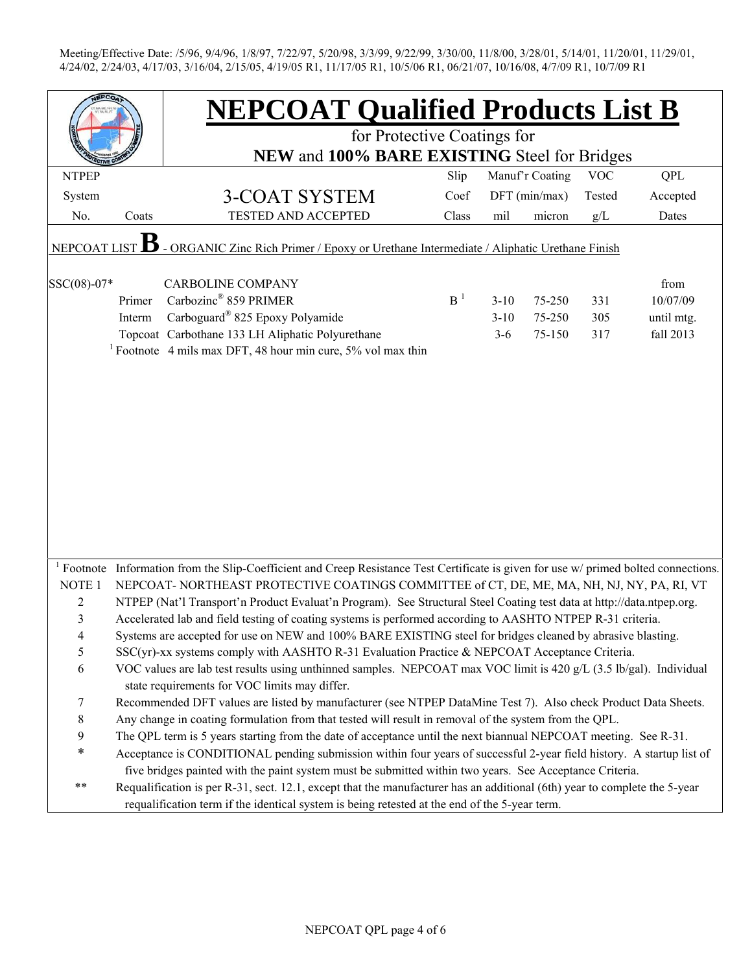|                    |        | <b>NEPCOAT Qualified Products List B</b>                                                                                                            |                                                                 |          |               |                      |                 |  |  |  |  |
|--------------------|--------|-----------------------------------------------------------------------------------------------------------------------------------------------------|-----------------------------------------------------------------|----------|---------------|----------------------|-----------------|--|--|--|--|
|                    |        | for Protective Coatings for                                                                                                                         |                                                                 |          |               |                      |                 |  |  |  |  |
| <b>NTPEP</b>       |        |                                                                                                                                                     | NEW and 100% BARE EXISTING Steel for Bridges<br>Manuf'r Coating |          |               |                      |                 |  |  |  |  |
|                    |        |                                                                                                                                                     | Slip<br>Coef                                                    |          | DFT (min/max) | <b>VOC</b><br>Tested | QPL<br>Accepted |  |  |  |  |
| System             | Coats  | 3-COAT SYSTEM<br>TESTED AND ACCEPTED                                                                                                                | Class                                                           |          |               |                      |                 |  |  |  |  |
| No.                |        |                                                                                                                                                     |                                                                 | mil      | micron        | g/L                  | Dates           |  |  |  |  |
| <b>NEPCOAT LIS</b> |        | - ORGANIC Zinc Rich Primer / Epoxy or Urethane Intermediate / Aliphatic Urethane Finish                                                             |                                                                 |          |               |                      |                 |  |  |  |  |
| SSC(08)-07*        |        | <b>CARBOLINE COMPANY</b>                                                                                                                            |                                                                 |          |               |                      | from            |  |  |  |  |
|                    | Primer | Carbozinc <sup>®</sup> 859 PRIMER                                                                                                                   | B <sup>1</sup>                                                  | $3 - 10$ | 75-250        | 331                  | 10/07/09        |  |  |  |  |
|                    | Interm | Carboguard <sup>®</sup> 825 Epoxy Polyamide                                                                                                         |                                                                 | $3 - 10$ | 75-250        | 305                  | until mtg.      |  |  |  |  |
|                    |        | Topcoat Carbothane 133 LH Aliphatic Polyurethane                                                                                                    |                                                                 | $3 - 6$  | 75-150        | 317                  | fall 2013       |  |  |  |  |
|                    |        | <sup>1</sup> Footnote 4 mils max DFT, 48 hour min cure, $5\%$ vol max thin                                                                          |                                                                 |          |               |                      |                 |  |  |  |  |
|                    |        |                                                                                                                                                     |                                                                 |          |               |                      |                 |  |  |  |  |
|                    |        |                                                                                                                                                     |                                                                 |          |               |                      |                 |  |  |  |  |
|                    |        |                                                                                                                                                     |                                                                 |          |               |                      |                 |  |  |  |  |
|                    |        |                                                                                                                                                     |                                                                 |          |               |                      |                 |  |  |  |  |
|                    |        |                                                                                                                                                     |                                                                 |          |               |                      |                 |  |  |  |  |
|                    |        |                                                                                                                                                     |                                                                 |          |               |                      |                 |  |  |  |  |
|                    |        |                                                                                                                                                     |                                                                 |          |               |                      |                 |  |  |  |  |
|                    |        |                                                                                                                                                     |                                                                 |          |               |                      |                 |  |  |  |  |
|                    |        |                                                                                                                                                     |                                                                 |          |               |                      |                 |  |  |  |  |
|                    |        |                                                                                                                                                     |                                                                 |          |               |                      |                 |  |  |  |  |
|                    |        | <sup>1</sup> Footnote Information from the Slip-Coefficient and Creep Resistance Test Certificate is given for use $w$ / primed bolted connections. |                                                                 |          |               |                      |                 |  |  |  |  |
| NOTE <sub>1</sub>  |        | NEPCOAT-NORTHEAST PROTECTIVE COATINGS COMMITTEE of CT, DE, ME, MA, NH, NJ, NY, PA, RI, VT                                                           |                                                                 |          |               |                      |                 |  |  |  |  |
| $\overline{c}$     |        | NTPEP (Nat'l Transport'n Product Evaluat'n Program). See Structural Steel Coating test data at http://data.ntpep.org.                               |                                                                 |          |               |                      |                 |  |  |  |  |
| 3                  |        | Accelerated lab and field testing of coating systems is performed according to AASHTO NTPEP R-31 criteria.                                          |                                                                 |          |               |                      |                 |  |  |  |  |
|                    |        | Systems are accepted for use on NEW and 100% BARE EXISTING steel for bridges cleaned by abrasive blasting.                                          |                                                                 |          |               |                      |                 |  |  |  |  |
| 5                  |        | $SSC(yr)$ -xx systems comply with AASHTO R-31 Evaluation Practice & NEPCOAT Acceptance Criteria.                                                    |                                                                 |          |               |                      |                 |  |  |  |  |
| 6                  |        | VOC values are lab test results using unthinned samples. NEPCOAT max VOC limit is 420 g/L (3.5 lb/gal). Individual                                  |                                                                 |          |               |                      |                 |  |  |  |  |
|                    |        | state requirements for VOC limits may differ.                                                                                                       |                                                                 |          |               |                      |                 |  |  |  |  |
| 7                  |        | Recommended DFT values are listed by manufacturer (see NTPEP DataMine Test 7). Also check Product Data Sheets.                                      |                                                                 |          |               |                      |                 |  |  |  |  |
| $\,8\,$            |        | Any change in coating formulation from that tested will result in removal of the system from the QPL.                                               |                                                                 |          |               |                      |                 |  |  |  |  |
| 9                  |        | The QPL term is 5 years starting from the date of acceptance until the next biannual NEPCOAT meeting. See R-31.                                     |                                                                 |          |               |                      |                 |  |  |  |  |
| $\ast$             |        | Acceptance is CONDITIONAL pending submission within four years of successful 2-year field history. A startup list of                                |                                                                 |          |               |                      |                 |  |  |  |  |
|                    |        | five bridges painted with the paint system must be submitted within two years. See Acceptance Criteria.                                             |                                                                 |          |               |                      |                 |  |  |  |  |
| $***$              |        | Requalification is per R-31, sect. 12.1, except that the manufacturer has an additional (6th) year to complete the 5-year                           |                                                                 |          |               |                      |                 |  |  |  |  |
|                    |        | requalification term if the identical system is being retested at the end of the 5-year term.                                                       |                                                                 |          |               |                      |                 |  |  |  |  |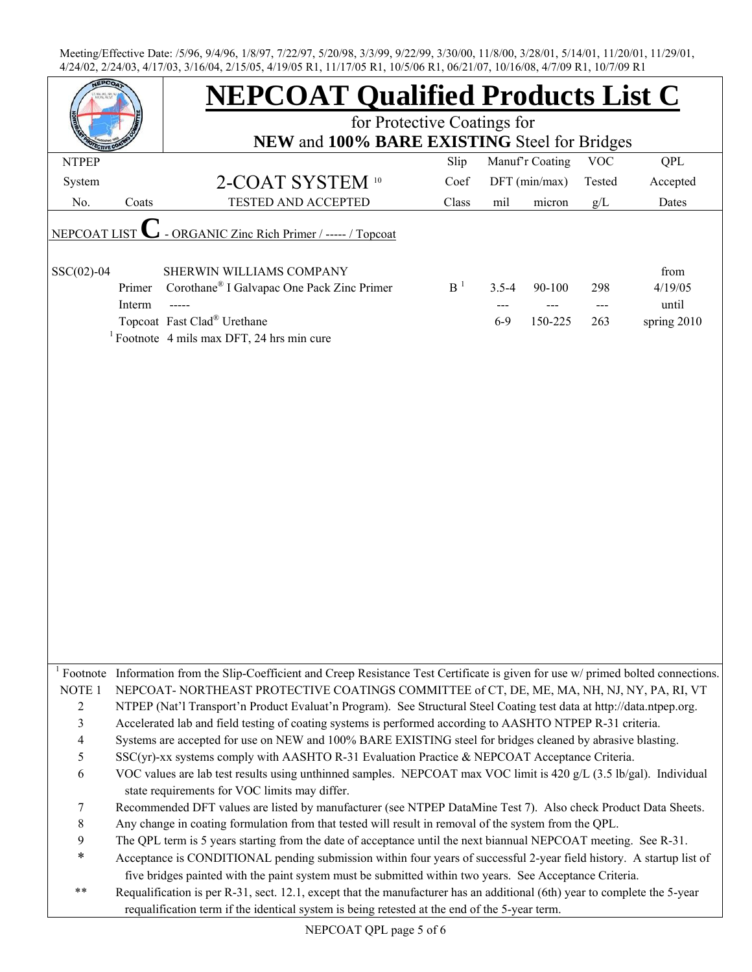|                   |                  | <b>NEPCOAT Qualified Products List C</b>                                                                                                                                                                                   |                |                    |                   |                   |                                         |  |  |  |
|-------------------|------------------|----------------------------------------------------------------------------------------------------------------------------------------------------------------------------------------------------------------------------|----------------|--------------------|-------------------|-------------------|-----------------------------------------|--|--|--|
|                   |                  | for Protective Coatings for                                                                                                                                                                                                |                |                    |                   |                   |                                         |  |  |  |
|                   |                  | NEW and 100% BARE EXISTING Steel for Bridges                                                                                                                                                                               |                |                    |                   |                   |                                         |  |  |  |
| <b>NTPEP</b>      |                  |                                                                                                                                                                                                                            | Slip           |                    | Manuf'r Coating   | <b>VOC</b>        | <b>QPL</b>                              |  |  |  |
| System            |                  | 2-COAT SYSTEM 10                                                                                                                                                                                                           | Coef           |                    | $DFT$ (min/max)   | Tested            | Accepted                                |  |  |  |
| No.               | Coats            | <b>TESTED AND ACCEPTED</b>                                                                                                                                                                                                 | Class          | mil                | micron            | g/L               | Dates                                   |  |  |  |
| NEPCOAT LIST      |                  | - ORGANIC Zinc Rich Primer / ----- / Topcoat                                                                                                                                                                               |                |                    |                   |                   |                                         |  |  |  |
| $SSC(02)-04$      | Primer<br>Interm | SHERWIN WILLIAMS COMPANY<br>Corothane <sup>®</sup> I Galvapac One Pack Zinc Primer<br>Topcoat Fast Clad® Urethane<br><sup>1</sup> Footnote 4 mils max DFT, 24 hrs min cure                                                 | B <sup>1</sup> | $3.5 - 4$<br>$6-9$ | 90-100<br>150-225 | 298<br>---<br>263 | from<br>4/19/05<br>until<br>spring 2010 |  |  |  |
|                   |                  |                                                                                                                                                                                                                            |                |                    |                   |                   |                                         |  |  |  |
|                   |                  |                                                                                                                                                                                                                            |                |                    |                   |                   |                                         |  |  |  |
|                   |                  |                                                                                                                                                                                                                            |                |                    |                   |                   |                                         |  |  |  |
|                   |                  |                                                                                                                                                                                                                            |                |                    |                   |                   |                                         |  |  |  |
|                   |                  |                                                                                                                                                                                                                            |                |                    |                   |                   |                                         |  |  |  |
|                   |                  |                                                                                                                                                                                                                            |                |                    |                   |                   |                                         |  |  |  |
|                   |                  |                                                                                                                                                                                                                            |                |                    |                   |                   |                                         |  |  |  |
|                   |                  |                                                                                                                                                                                                                            |                |                    |                   |                   |                                         |  |  |  |
|                   |                  |                                                                                                                                                                                                                            |                |                    |                   |                   |                                         |  |  |  |
|                   |                  |                                                                                                                                                                                                                            |                |                    |                   |                   |                                         |  |  |  |
|                   |                  |                                                                                                                                                                                                                            |                |                    |                   |                   |                                         |  |  |  |
|                   |                  | <sup>1</sup> Footnote Information from the Slip-Coefficient and Creep Resistance Test Certificate is given for use $w$ / primed bolted connections.                                                                        |                |                    |                   |                   |                                         |  |  |  |
| NOTE <sub>1</sub> |                  | NEPCOAT-NORTHEAST PROTECTIVE COATINGS COMMITTEE of CT, DE, ME, MA, NH, NJ, NY, PA, RI, VT                                                                                                                                  |                |                    |                   |                   |                                         |  |  |  |
| $\overline{2}$    |                  | NTPEP (Nat'l Transport'n Product Evaluat'n Program). See Structural Steel Coating test data at http://data.ntpep.org.                                                                                                      |                |                    |                   |                   |                                         |  |  |  |
| $\mathfrak{Z}$    |                  | Accelerated lab and field testing of coating systems is performed according to AASHTO NTPEP R-31 criteria.                                                                                                                 |                |                    |                   |                   |                                         |  |  |  |
| $\overline{4}$    |                  | Systems are accepted for use on NEW and 100% BARE EXISTING steel for bridges cleaned by abrasive blasting.                                                                                                                 |                |                    |                   |                   |                                         |  |  |  |
| 5                 |                  | SSC(yr)-xx systems comply with AASHTO R-31 Evaluation Practice & NEPCOAT Acceptance Criteria.                                                                                                                              |                |                    |                   |                   |                                         |  |  |  |
| 6                 |                  | VOC values are lab test results using unthinned samples. NEPCOAT max VOC limit is 420 g/L (3.5 lb/gal). Individual<br>state requirements for VOC limits may differ.                                                        |                |                    |                   |                   |                                         |  |  |  |
| 7                 |                  | Recommended DFT values are listed by manufacturer (see NTPEP DataMine Test 7). Also check Product Data Sheets.                                                                                                             |                |                    |                   |                   |                                         |  |  |  |
| $8\,$             |                  | Any change in coating formulation from that tested will result in removal of the system from the QPL.                                                                                                                      |                |                    |                   |                   |                                         |  |  |  |
| $\boldsymbol{9}$  |                  | The QPL term is 5 years starting from the date of acceptance until the next biannual NEPCOAT meeting. See R-31.                                                                                                            |                |                    |                   |                   |                                         |  |  |  |
| $\ast$            |                  | Acceptance is CONDITIONAL pending submission within four years of successful 2-year field history. A startup list of                                                                                                       |                |                    |                   |                   |                                         |  |  |  |
|                   |                  | five bridges painted with the paint system must be submitted within two years. See Acceptance Criteria.                                                                                                                    |                |                    |                   |                   |                                         |  |  |  |
| $***$             |                  | Requalification is per R-31, sect. 12.1, except that the manufacturer has an additional (6th) year to complete the 5-year<br>requalification term if the identical system is being retested at the end of the 5-year term. |                |                    |                   |                   |                                         |  |  |  |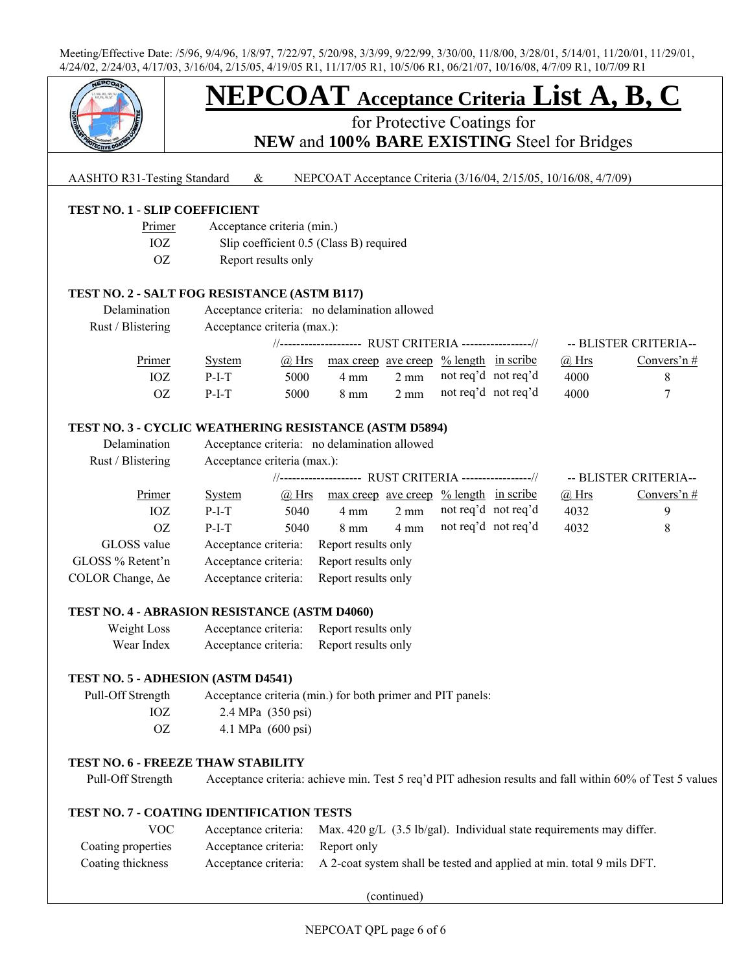

# **NEPCOAT Acceptance Criteria List A, B, C**

for Protective Coatings for

**NEW** and **100% BARE EXISTING** Steel for Bridges

#### AASHTO R31-Testing Standard & NEPCOAT Acceptance Criteria (3/16/04, 2/15/05, 10/16/08, 4/7/09)

#### **TEST NO. 1 - SLIP COEFFICIENT**

- Primer Acceptance criteria (min.)
- IOZ Slip coefficient 0.5 (Class B) required
- OZ Report results only

#### **TEST NO. 2 - SALT FOG RESISTANCE (ASTM B117)**

| Delamination<br>Rust / Blistering | Acceptance criteria: no delamination allowed<br>Acceptance criteria (max.): |       |                                                        |                |                     |  |              |                       |  |
|-----------------------------------|-----------------------------------------------------------------------------|-------|--------------------------------------------------------|----------------|---------------------|--|--------------|-----------------------|--|
|                                   |                                                                             |       | //------------------- RUST CRITERIA ----------------// |                |                     |  |              | -- BLISTER CRITERIA-- |  |
| Primer                            | <b>System</b>                                                               | @ Hrs | $\frac{max\,creep\,ave\,creep\,% length\,in\,scr}$     |                |                     |  | $\omega$ Hrs | Convers'n $#$         |  |
| IOZ                               | $P-I-T$                                                                     | 5000  | $4 \text{ mm}$                                         | $2 \text{ mm}$ | not reg'd not reg'd |  | 4000         |                       |  |
| OZ                                | $P-I-T$                                                                     | 5000  | $8 \text{ mm}$                                         | $2 \text{ mm}$ | not req'd not req'd |  | 4000         |                       |  |

#### **TEST NO. 3 - CYCLIC WEATHERING RESISTANCE (ASTM D5894)**

| Delamination             | Acceptance criteria: no delamination allowed            |       |                                                     |                |                     |  |              |                       |
|--------------------------|---------------------------------------------------------|-------|-----------------------------------------------------|----------------|---------------------|--|--------------|-----------------------|
| Rust / Blistering        | Acceptance criteria (max.):                             |       |                                                     |                |                     |  |              |                       |
|                          | //-------------------- RUST CRITERIA ----------------// |       |                                                     |                |                     |  |              | -- BLISTER CRITERIA-- |
| Primer                   | System                                                  | @ Hrs | $\frac{max\,creep\,ave\,creep\,% length\,in\,scri}$ |                |                     |  | $\omega$ Hrs | Convers'n $#$         |
| IOZ                      | $P-I-T$                                                 | 5040  | $4 \text{ mm}$                                      | $2 \text{ mm}$ | not req'd not req'd |  | 4032         | 9                     |
| <sub>OZ</sub>            | $P-I-T$                                                 | 5040  | $8 \text{ mm}$                                      | $4 \text{ mm}$ | not req'd not req'd |  | 4032         | 8                     |
| GLOSS value              | Acceptance criteria:                                    |       | Report results only                                 |                |                     |  |              |                       |
| GLOSS % Retent'n         | Acceptance criteria:                                    |       | Report results only                                 |                |                     |  |              |                       |
| COLOR Change, $\Delta e$ | Acceptance criteria:                                    |       | Report results only                                 |                |                     |  |              |                       |

#### **TEST NO. 4 - ABRASION RESISTANCE (ASTM D4060)**

| Weight Loss | Acceptance criteria: | Report results only |
|-------------|----------------------|---------------------|
| Wear Index  | Acceptance criteria: | Report results only |

#### **TEST NO. 5 - ADHESION (ASTM D4541)**

 Pull-Off Strength Acceptance criteria (min.) for both primer and PIT panels: IOZ 2.4 MPa (350 psi) OZ 4.1 MPa (600 psi)

#### **TEST NO. 6 - FREEZE THAW STABILITY**

Pull-Off Strength Acceptance criteria: achieve min. Test 5 req'd PIT adhesion results and fall within 60% of Test 5 values

#### **TEST NO. 7 - COATING IDENTIFICATION TESTS**

| VOC                |                                  | Acceptance criteria: Max. 420 g/L $(3.5 \text{ lb/gal})$ . Individual state requirements may differ. |
|--------------------|----------------------------------|------------------------------------------------------------------------------------------------------|
| Coating properties | Acceptance criteria: Report only |                                                                                                      |
| Coating thickness  |                                  | Acceptance criteria: A 2-coat system shall be tested and applied at min. total 9 mils DFT.           |

(continued)